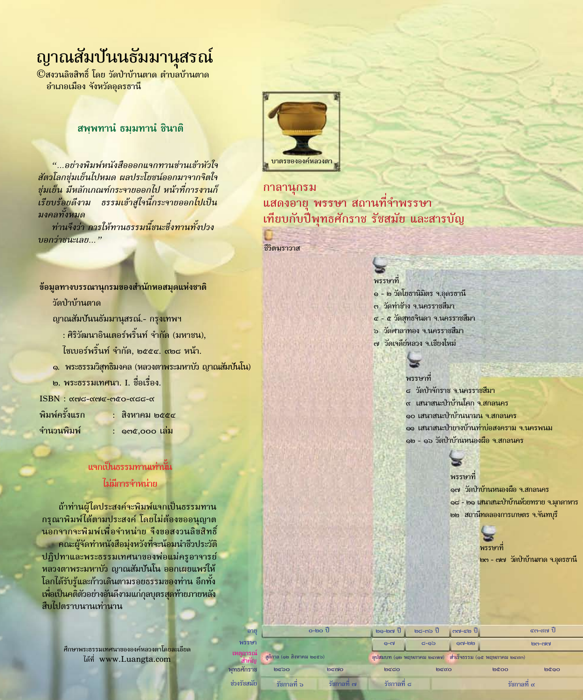## ญาณสัมปันนธัมมานุสรณ์

©สงวนลิขสิทธิ์ โดย วัดป่าบ้านตาด ตำบลบ้านตาด อำเภอเมือง จังหวัดอุดรธานี

## สพุพทาน ธมมทาน ชินาติ

"...อย่างพิมพ์หนังสือออกแจกทานซ่านเข้าหัวใจ สัตวโลกชุ่มเย็นไปหมด ผลประโยชน์ออกมาจากจิตใจ ชุ่มเย็น <mark>มีหลักเกณฑ์กระจายออกไป หน้าที่การงานก็</mark> ์เรียบร้อ<mark>ยดีงาม ธรรมเข้าสู่ใจนี้กระจายออกไปเป็น</mark> มงคลทั้งหมด

ท่านจึงว่<mark>า การให้ทานธรรมนี้ชนะซึ่งทานทั้งปวง</mark> บอกว่าชนะเลย..."

## ข้อมูลทางบรรณานุกรมของสำนักหอสมุดแห่งชาติ

วัดป่าบ้านตาด

ญาณสัมปันนธัมมานุสรณ์.- กรุงเทพฯ

<u>: ศิริวัฒนาอินเตอร์พริ้นท์ จำกัด (มหาชน),</u>

ไซเบอร์พริ้นท์ จำกัด, ๒๕๕๔. ๙๒๘ หน้า.

๑. พระธรรมวิสุทธิมงคล (หลวงตาพระมหาบั่ว ญาณสัมปันโน)

- ๒. พระธรรมเทศนา. I. ชื่อเรื่อง.
- **ISBN** : αონ-αონ-ორი-ონი-ონ

พิมพ์ครั้งแรก จำนวนพิมพ์

: สิงหาคม ๒๕๕๔ : ดูต๕,๐๐๐ เล่ม

## แจกเป็นธรรมทานเท่านั้น ไม่มีการจำหน่าย

ถ้าท่านผู้ใดประสงค์จะพิมพ์แจกเป็นธรรมทาน ึกรุณาพิมพ์ได้ตามประสงค์ โดยไม่ต้องขออนุญาต นอกจากจะพิมพ์เพื่อจำหน่าย จึงขอสงวนลิขสิทธิ์ ึกณะผู้จัดทำหนังสือมุ่งหวังที่จะน้อมนำชีวประวัติ ึปฏิปทาและพระธรรมเทศนาของพ่อแม่ครูอาจารย์ ิหลวงตาพระมหาบั๋ว ญาณสัมบันโน ออกเผยแพร่ให้ โลกได้รับ<mark>รู้แล</mark>ะก้าวเดินตามรอยธรรมของท่าน อีกทั้ง เพื่อเป็น<mark>คติ</mark>ตัวอย่างอันดีงามแก่กุลบุตรสุดท้ายภายหลัง สืบไปตราบนานเท่านาน

> ์ศึกษาพระธรรมเทศนาขององค์หลวงตาโด<mark>ยละเ</mark>อียด ได้ที่ www.Luangta.com

> > พุทธศักร ช่วงรัชส



## กาลานุกรม แสดงอายุ พรรษา สถานที่จำพรรษา เทียบกับปี่พุทธศักราช รัชสมัย และสารบัญ

ชีวิตมราวาส



- ๑ ๒ วัดโยธานิมิตร จ.อุดรธานี
- ิต วัดท่าช้าง จ.นครราชสีมา
- <mark>๔ ๕ วัดสุทธ</mark>จินดา จ.นครราชสีมา
- <u>๖ วัดศาลาทอง จ.นครราชสีมา</u>
- ๗ วัดเจดีย์หลวง จ.เชียงใหม่



### พรรษาที

ี๘ วัดป่าจักราช จ.นครราชสีมา ี่<sub>α</sub> เสนาสนะป่าบ้านโคก จ.สกลนคร ๑๐ เสนาสนะป่<mark>าบ้าน</mark>นาม<mark>น</mark> จ.สกลนคร ๑๑ เสนาสนะป่<mark>ายางบ้านท่าบ่อสงคราม จ.นครพนม</mark> ๑๒ - ๑๖ วัดป่าบ้านหนอง<mark>ผือ จ.สกลนคร</mark>



### พรราทที่

๑๗ วัดป่า<mark>บ้านหนองผือ จ.สกลนคร</mark> <mark>๑๘ - ๒๑ เสนาสนะป่าบ้านห้วยทราย จ.มุกดาหาร</mark> ๒๒ สถานี<mark>ทดลองการเกษตร จ.จันทบุรี</mark>



๒๓ - ๗๗ วัดป่าบ้านตาด จ.อุดรธานี

| ายู       | $o$ -២ $o$ ปี<br>ิสูติกาล (๑๒ สิงหาคม ๒๔๕๖) |                          | ๒๑-๒๗ ปี    | ∣ຫຮ−ຕ`ວ ປື                                             | ∣ ຕຕ-๔๒ ปี∥        |             | ∈ຕ−ແ๗ ปี     |  |
|-----------|---------------------------------------------|--------------------------|-------------|--------------------------------------------------------|--------------------|-------------|--------------|--|
| ዛብ        |                                             |                          | െന്         | ය- වෙ                                                  | ലെ-ലെ              |             | $\mathbb{C}$ |  |
| ็ณ๋<br>ัญ |                                             |                          |             | อุปสมบท (๑๒ พฤษภาคม ๒๔๗๗) สำเร็จธรรม (๑๕ พฤษภาคม ๒๔๙๓) |                    |             |              |  |
| าช        | してつつ                                        | <b>b</b> cno             | ಠಿತರ        | beao                                                   |                    | <b>bcoo</b> | <b>២</b> ៤០០ |  |
| เซ        | $\overline{a}$<br>้ริชกาลที่ ๖              | $\bullet$<br>ริชกาลที่ ๗ | รัชกาลที่ ๘ |                                                        | รัชกาลที่ $\alpha$ |             |              |  |